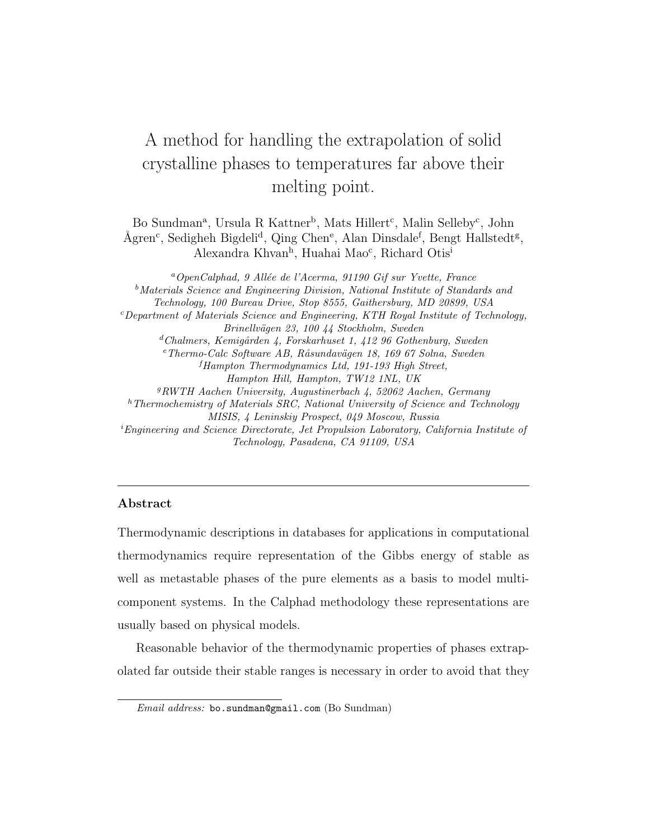# A method for handling the extrapolation of solid crystalline phases to temperatures far above their melting point.

Bo Sundman<sup>a</sup>, Ursula R Kattner<sup>b</sup>, Mats Hillert<sup>c</sup>, Malin Selleby<sup>c</sup>, John Ågren<sup>c</sup>, Sedigheh Bigdeli<sup>d</sup>, Qing Chen<sup>e</sup>, Alan Dinsdale<sup>f</sup>, Bengt Hallstedt<sup>g</sup>, Alexandra Khvan<sup>h</sup>, Huahai Mao<sup>c</sup>, Richard Otis<sup>i</sup>

 $a$ OpenCalphad, 9 Allée de l'Acerma, 91190 Gif sur Yvette, France <sup>b</sup>Materials Science and Engineering Division, National Institute of Standards and Technology, 100 Bureau Drive, Stop 8555, Gaithersburg, MD 20899, USA  $c$ Department of Materials Science and Engineering, KTH Royal Institute of Technology, Brinellvägen 23, 100 44 Stockholm, Sweden  $d$ Chalmers, Kemigården 4, Forskarhuset 1, 412 96 Gothenburg, Sweden  $e$ Thermo-Calc Software AB, Råsundavägen 18, 169 67 Solna, Sweden  ${}^{f}$ Hampton Thermodynamics Ltd, 191-193 High Street, Hampton Hill, Hampton, TW12 1NL, UK <sup>g</sup>RWTH Aachen University, Augustinerbach 4, 52062 Aachen, Germany  $h$ Thermochemistry of Materials SRC, National University of Science and Technology MISIS, 4 Leninskiy Prospect, 049 Moscow, Russia  ${}^{i}$ Engineering and Science Directorate, Jet Propulsion Laboratory, California Institute of Technology, Pasadena, CA 91109, USA

#### Abstract

Thermodynamic descriptions in databases for applications in computational thermodynamics require representation of the Gibbs energy of stable as well as metastable phases of the pure elements as a basis to model multicomponent systems. In the Calphad methodology these representations are usually based on physical models.

Reasonable behavior of the thermodynamic properties of phases extrapolated far outside their stable ranges is necessary in order to avoid that they

Email address: bo.sundman@gmail.com (Bo Sundman)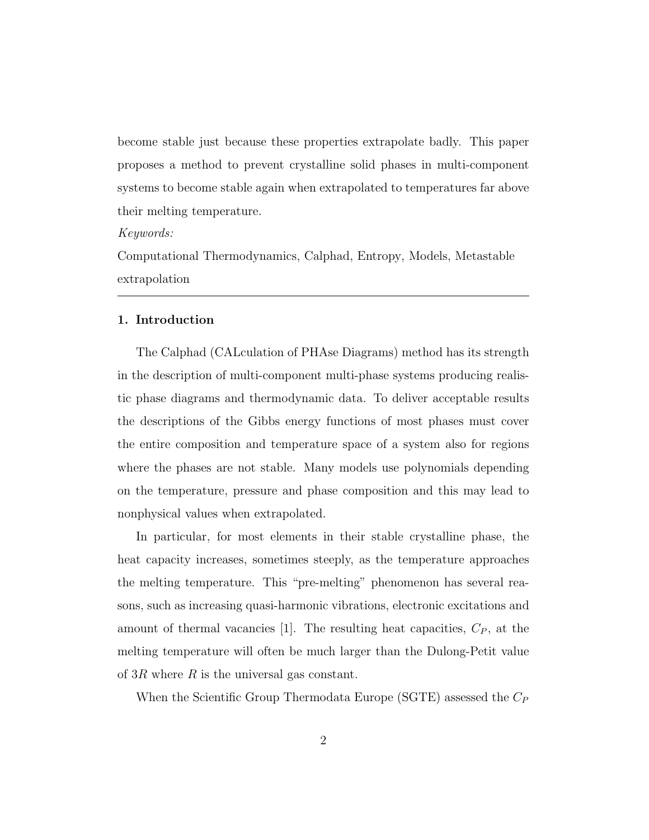become stable just because these properties extrapolate badly. This paper proposes a method to prevent crystalline solid phases in multi-component systems to become stable again when extrapolated to temperatures far above their melting temperature.

#### Keywords:

Computational Thermodynamics, Calphad, Entropy, Models, Metastable extrapolation

#### 1. Introduction

The Calphad (CALculation of PHAse Diagrams) method has its strength in the description of multi-component multi-phase systems producing realistic phase diagrams and thermodynamic data. To deliver acceptable results the descriptions of the Gibbs energy functions of most phases must cover the entire composition and temperature space of a system also for regions where the phases are not stable. Many models use polynomials depending on the temperature, pressure and phase composition and this may lead to nonphysical values when extrapolated.

In particular, for most elements in their stable crystalline phase, the heat capacity increases, sometimes steeply, as the temperature approaches the melting temperature. This "pre-melting" phenomenon has several reasons, such as increasing quasi-harmonic vibrations, electronic excitations and amount of thermal vacancies [1]. The resulting heat capacities,  $C_P$ , at the melting temperature will often be much larger than the Dulong-Petit value of  $3R$  where R is the universal gas constant.

When the Scientific Group Thermodata Europe (SGTE) assessed the  $C_P$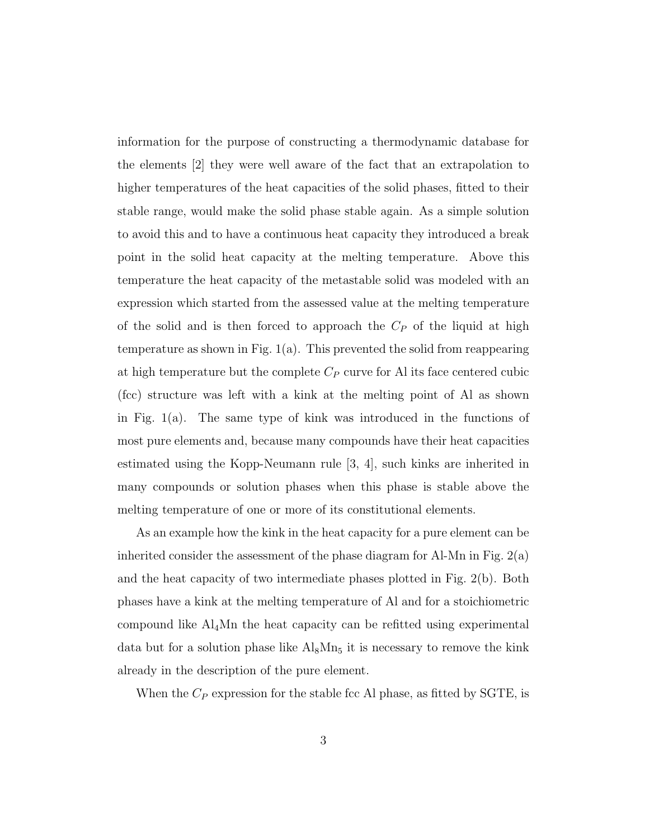information for the purpose of constructing a thermodynamic database for the elements [2] they were well aware of the fact that an extrapolation to higher temperatures of the heat capacities of the solid phases, fitted to their stable range, would make the solid phase stable again. As a simple solution to avoid this and to have a continuous heat capacity they introduced a break point in the solid heat capacity at the melting temperature. Above this temperature the heat capacity of the metastable solid was modeled with an expression which started from the assessed value at the melting temperature of the solid and is then forced to approach the  $C_P$  of the liquid at high temperature as shown in Fig.  $1(a)$ . This prevented the solid from reappearing at high temperature but the complete  $C_P$  curve for Al its face centered cubic (fcc) structure was left with a kink at the melting point of Al as shown in Fig. 1(a). The same type of kink was introduced in the functions of most pure elements and, because many compounds have their heat capacities estimated using the Kopp-Neumann rule [3, 4], such kinks are inherited in many compounds or solution phases when this phase is stable above the melting temperature of one or more of its constitutional elements.

As an example how the kink in the heat capacity for a pure element can be inherited consider the assessment of the phase diagram for Al-Mn in Fig.  $2(a)$ and the heat capacity of two intermediate phases plotted in Fig. 2(b). Both phases have a kink at the melting temperature of Al and for a stoichiometric compound like Al4Mn the heat capacity can be refitted using experimental data but for a solution phase like  $Al_8Mn_5$  it is necessary to remove the kink already in the description of the pure element.

When the  $C_P$  expression for the stable fcc Al phase, as fitted by SGTE, is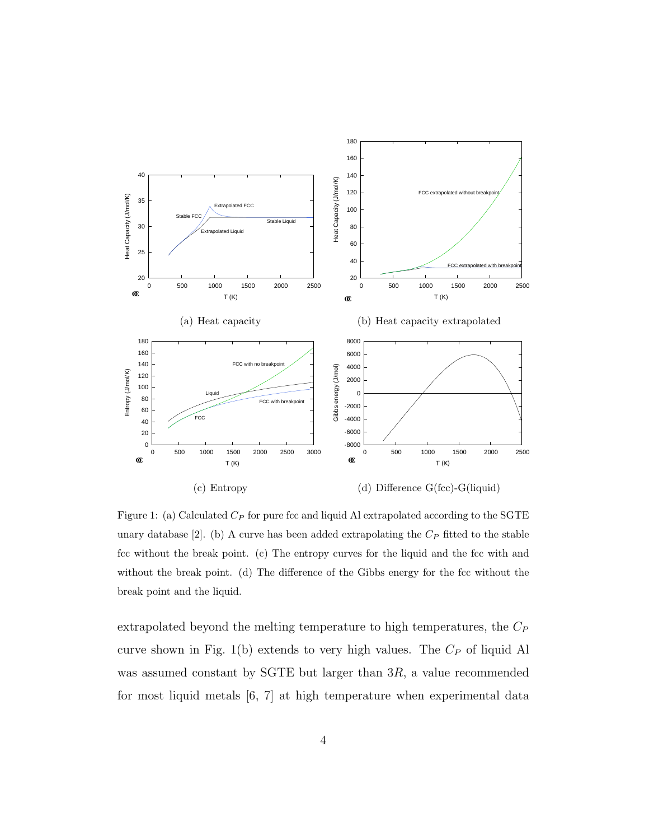

Figure 1: (a) Calculated  $C_P$  for pure fcc and liquid Al extrapolated according to the SGTE unary database [2]. (b) A curve has been added extrapolating the  $C_P$  fitted to the stable fcc without the break point. (c) The entropy curves for the liquid and the fcc with and without the break point. (d) The difference of the Gibbs energy for the fcc without the break point and the liquid.

extrapolated beyond the melting temperature to high temperatures, the  $C_P$ curve shown in Fig. 1(b) extends to very high values. The  $C_P$  of liquid Al was assumed constant by SGTE but larger than 3R, a value recommended for most liquid metals [6, 7] at high temperature when experimental data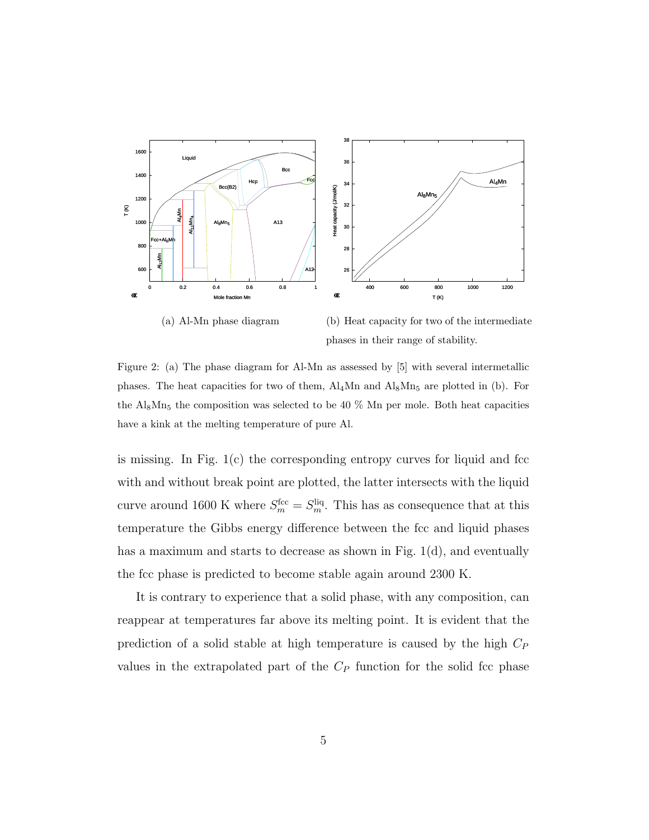

(a) Al-Mn phase diagram

(b) Heat capacity for two of the intermediate phases in their range of stability.

Figure 2: (a) The phase diagram for Al-Mn as assessed by [5] with several intermetallic phases. The heat capacities for two of them,  $\text{Al}_4\text{Mn}$  and  $\text{Al}_8\text{Mn}_5$  are plotted in (b). For the  $\text{Al}_8\text{Mn}_5$  the composition was selected to be 40 % Mn per mole. Both heat capacities have a kink at the melting temperature of pure Al.

is missing. In Fig.  $1(c)$  the corresponding entropy curves for liquid and fcc with and without break point are plotted, the latter intersects with the liquid curve around 1600 K where  $S_m^{\text{fcc}} = S_m^{\text{liq}}$ . This has as consequence that at this temperature the Gibbs energy difference between the fcc and liquid phases has a maximum and starts to decrease as shown in Fig. 1(d), and eventually the fcc phase is predicted to become stable again around 2300 K.

It is contrary to experience that a solid phase, with any composition, can reappear at temperatures far above its melting point. It is evident that the prediction of a solid stable at high temperature is caused by the high  $C_P$ values in the extrapolated part of the  $C_P$  function for the solid fcc phase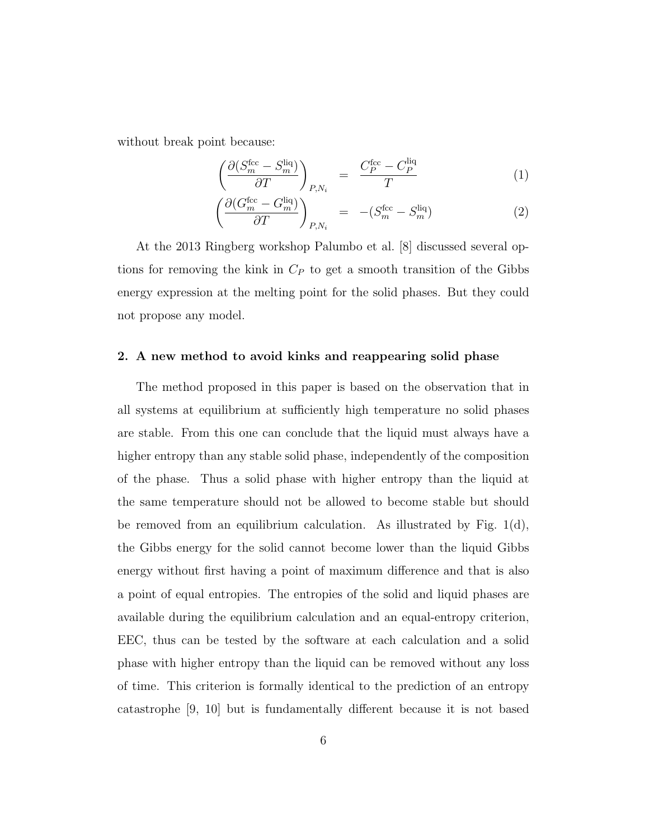without break point because:

$$
\left(\frac{\partial (S_m^{\text{fcc}} - S_m^{\text{liq}})}{\partial T}\right)_{P,N_i} = \frac{C_P^{\text{fcc}} - C_P^{\text{liq}}}{T} \tag{1}
$$

$$
\left(\frac{\partial (G_m^{\text{fcc}} - G_m^{\text{liq}})}{\partial T}\right)_{P,N_i} = -(S_m^{\text{fcc}} - S_m^{\text{liq}}) \tag{2}
$$

At the 2013 Ringberg workshop Palumbo et al. [8] discussed several options for removing the kink in  $C_P$  to get a smooth transition of the Gibbs energy expression at the melting point for the solid phases. But they could not propose any model.

# 2. A new method to avoid kinks and reappearing solid phase

The method proposed in this paper is based on the observation that in all systems at equilibrium at sufficiently high temperature no solid phases are stable. From this one can conclude that the liquid must always have a higher entropy than any stable solid phase, independently of the composition of the phase. Thus a solid phase with higher entropy than the liquid at the same temperature should not be allowed to become stable but should be removed from an equilibrium calculation. As illustrated by Fig.  $1(d)$ , the Gibbs energy for the solid cannot become lower than the liquid Gibbs energy without first having a point of maximum difference and that is also a point of equal entropies. The entropies of the solid and liquid phases are available during the equilibrium calculation and an equal-entropy criterion, EEC, thus can be tested by the software at each calculation and a solid phase with higher entropy than the liquid can be removed without any loss of time. This criterion is formally identical to the prediction of an entropy catastrophe [9, 10] but is fundamentally different because it is not based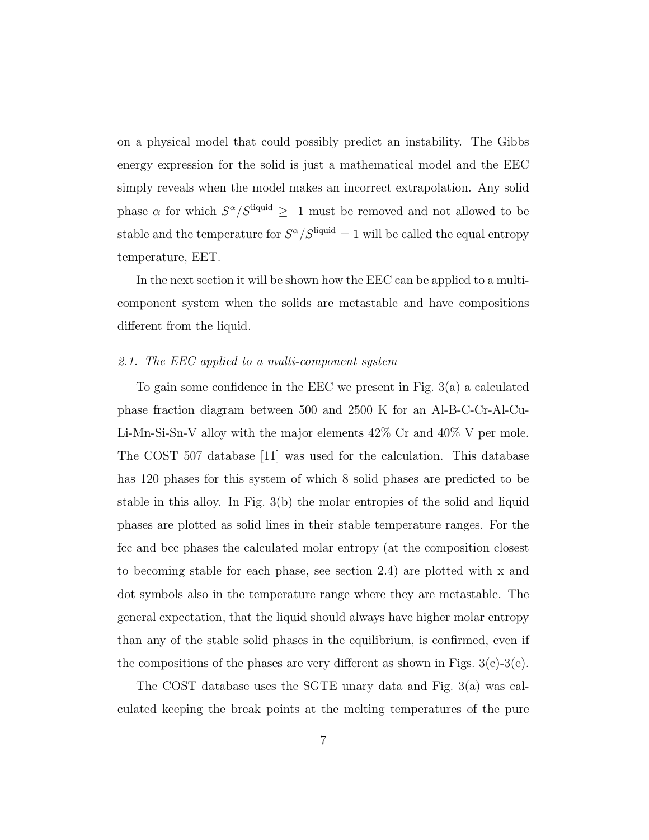on a physical model that could possibly predict an instability. The Gibbs energy expression for the solid is just a mathematical model and the EEC simply reveals when the model makes an incorrect extrapolation. Any solid phase  $\alpha$  for which  $S^{\alpha}/S^{liquid} \geq 1$  must be removed and not allowed to be stable and the temperature for  $S^{\alpha}/S^{\text{liquid}} = 1$  will be called the equal entropy temperature, EET.

In the next section it will be shown how the EEC can be applied to a multicomponent system when the solids are metastable and have compositions different from the liquid.

#### 2.1. The EEC applied to a multi-component system

To gain some confidence in the EEC we present in Fig. 3(a) a calculated phase fraction diagram between 500 and 2500 K for an Al-B-C-Cr-Al-Cu-Li-Mn-Si-Sn-V alloy with the major elements 42% Cr and 40% V per mole. The COST 507 database [11] was used for the calculation. This database has 120 phases for this system of which 8 solid phases are predicted to be stable in this alloy. In Fig. 3(b) the molar entropies of the solid and liquid phases are plotted as solid lines in their stable temperature ranges. For the fcc and bcc phases the calculated molar entropy (at the composition closest to becoming stable for each phase, see section 2.4) are plotted with x and dot symbols also in the temperature range where they are metastable. The general expectation, that the liquid should always have higher molar entropy than any of the stable solid phases in the equilibrium, is confirmed, even if the compositions of the phases are very different as shown in Figs.  $3(c)$ - $3(e)$ .

The COST database uses the SGTE unary data and Fig. 3(a) was calculated keeping the break points at the melting temperatures of the pure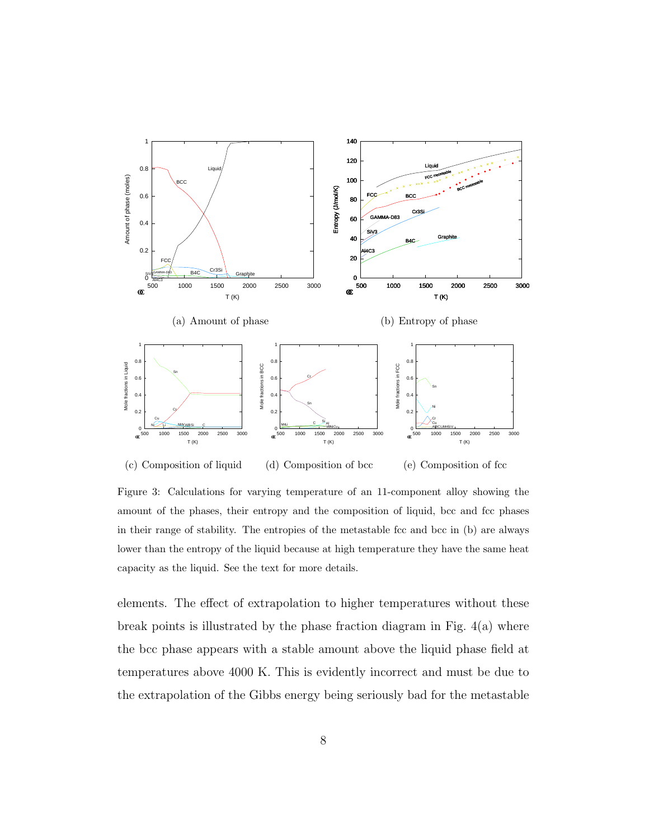

(c) Composition of liquid (d) Composition of bcc (e) Composition of fcc

Figure 3: Calculations for varying temperature of an 11-component alloy showing the amount of the phases, their entropy and the composition of liquid, bcc and fcc phases in their range of stability. The entropies of the metastable fcc and bcc in (b) are always lower than the entropy of the liquid because at high temperature they have the same heat capacity as the liquid. See the text for more details.

elements. The effect of extrapolation to higher temperatures without these break points is illustrated by the phase fraction diagram in Fig.  $4(a)$  where the bcc phase appears with a stable amount above the liquid phase field at temperatures above 4000 K. This is evidently incorrect and must be due to the extrapolation of the Gibbs energy being seriously bad for the metastable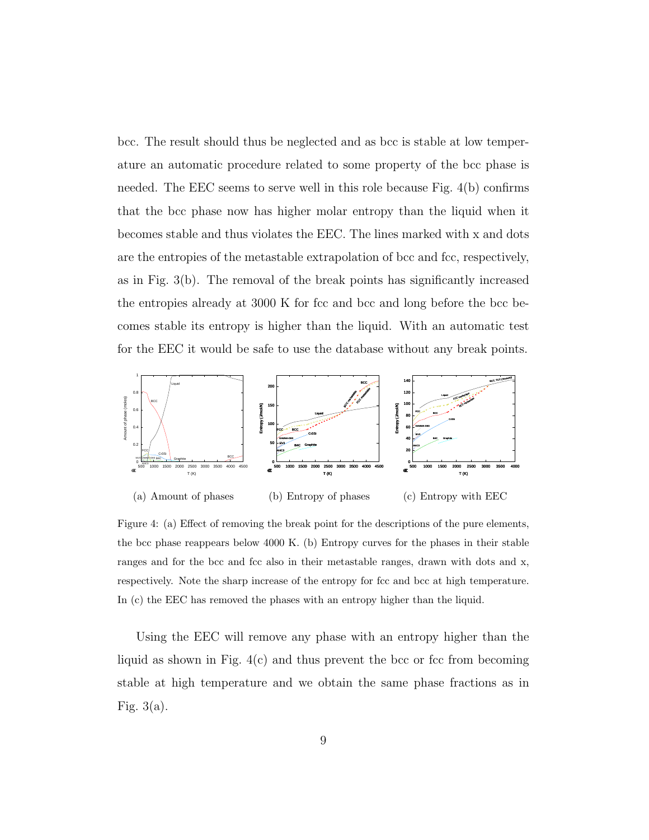bcc. The result should thus be neglected and as bcc is stable at low temperature an automatic procedure related to some property of the bcc phase is needed. The EEC seems to serve well in this role because Fig. 4(b) confirms that the bcc phase now has higher molar entropy than the liquid when it becomes stable and thus violates the EEC. The lines marked with x and dots are the entropies of the metastable extrapolation of bcc and fcc, respectively, as in Fig. 3(b). The removal of the break points has significantly increased the entropies already at 3000 K for fcc and bcc and long before the bcc becomes stable its entropy is higher than the liquid. With an automatic test for the EEC it would be safe to use the database without any break points.



Figure 4: (a) Effect of removing the break point for the descriptions of the pure elements, the bcc phase reappears below 4000 K. (b) Entropy curves for the phases in their stable ranges and for the bcc and fcc also in their metastable ranges, drawn with dots and x, respectively. Note the sharp increase of the entropy for fcc and bcc at high temperature. In (c) the EEC has removed the phases with an entropy higher than the liquid.

Using the EEC will remove any phase with an entropy higher than the liquid as shown in Fig.  $4(c)$  and thus prevent the bcc or fcc from becoming stable at high temperature and we obtain the same phase fractions as in Fig. 3(a).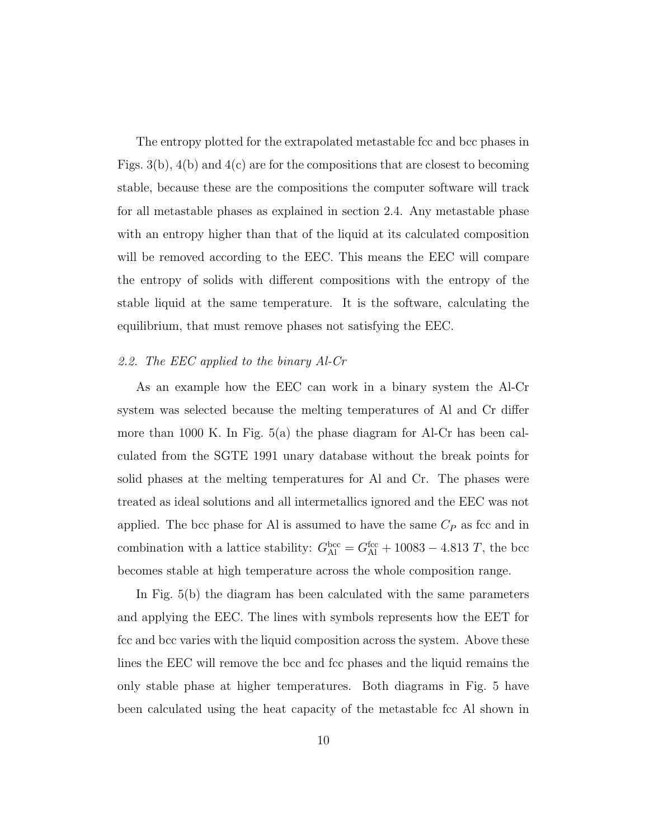The entropy plotted for the extrapolated metastable fcc and bcc phases in Figs.  $3(b)$ ,  $4(b)$  and  $4(c)$  are for the compositions that are closest to becoming stable, because these are the compositions the computer software will track for all metastable phases as explained in section 2.4. Any metastable phase with an entropy higher than that of the liquid at its calculated composition will be removed according to the EEC. This means the EEC will compare the entropy of solids with different compositions with the entropy of the stable liquid at the same temperature. It is the software, calculating the equilibrium, that must remove phases not satisfying the EEC.

#### 2.2. The EEC applied to the binary Al-Cr

As an example how the EEC can work in a binary system the Al-Cr system was selected because the melting temperatures of Al and Cr differ more than 1000 K. In Fig. 5(a) the phase diagram for Al-Cr has been calculated from the SGTE 1991 unary database without the break points for solid phases at the melting temperatures for Al and Cr. The phases were treated as ideal solutions and all intermetallics ignored and the EEC was not applied. The bcc phase for Al is assumed to have the same  $C_P$  as fcc and in combination with a lattice stability:  $G_{\text{Al}}^{\text{bcc}} = G_{\text{Al}}^{\text{fcc}} + 10083 - 4.813 T$ , the bcc becomes stable at high temperature across the whole composition range.

In Fig. 5(b) the diagram has been calculated with the same parameters and applying the EEC. The lines with symbols represents how the EET for fcc and bcc varies with the liquid composition across the system. Above these lines the EEC will remove the bcc and fcc phases and the liquid remains the only stable phase at higher temperatures. Both diagrams in Fig. 5 have been calculated using the heat capacity of the metastable fcc Al shown in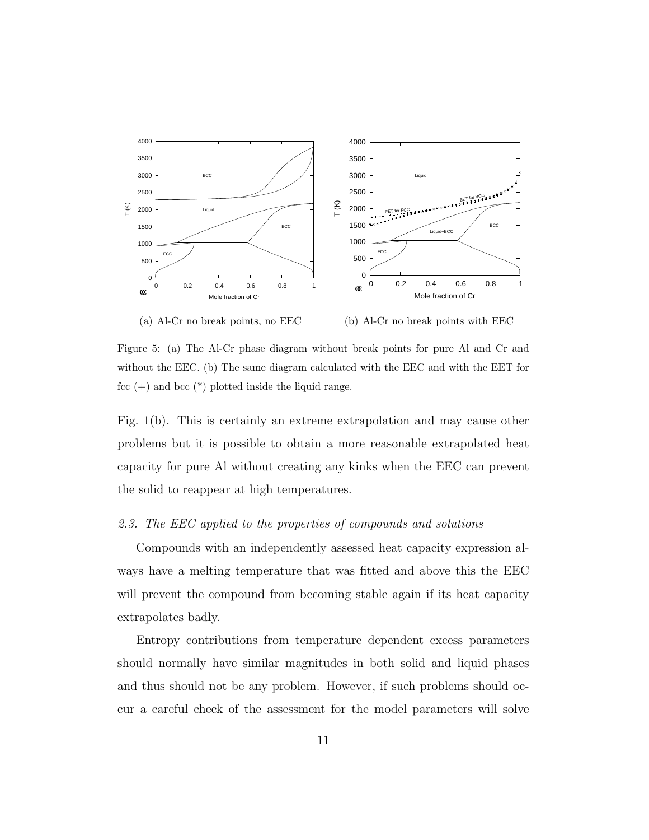

(a) Al-Cr no break points, no EEC

(b) Al-Cr no break points with EEC

Figure 5: (a) The Al-Cr phase diagram without break points for pure Al and Cr and without the EEC. (b) The same diagram calculated with the EEC and with the EET for fcc  $(+)$  and bcc  $(*)$  plotted inside the liquid range.

Fig. 1(b). This is certainly an extreme extrapolation and may cause other problems but it is possible to obtain a more reasonable extrapolated heat capacity for pure Al without creating any kinks when the EEC can prevent the solid to reappear at high temperatures.

#### 2.3. The EEC applied to the properties of compounds and solutions

Compounds with an independently assessed heat capacity expression always have a melting temperature that was fitted and above this the EEC will prevent the compound from becoming stable again if its heat capacity extrapolates badly.

Entropy contributions from temperature dependent excess parameters should normally have similar magnitudes in both solid and liquid phases and thus should not be any problem. However, if such problems should occur a careful check of the assessment for the model parameters will solve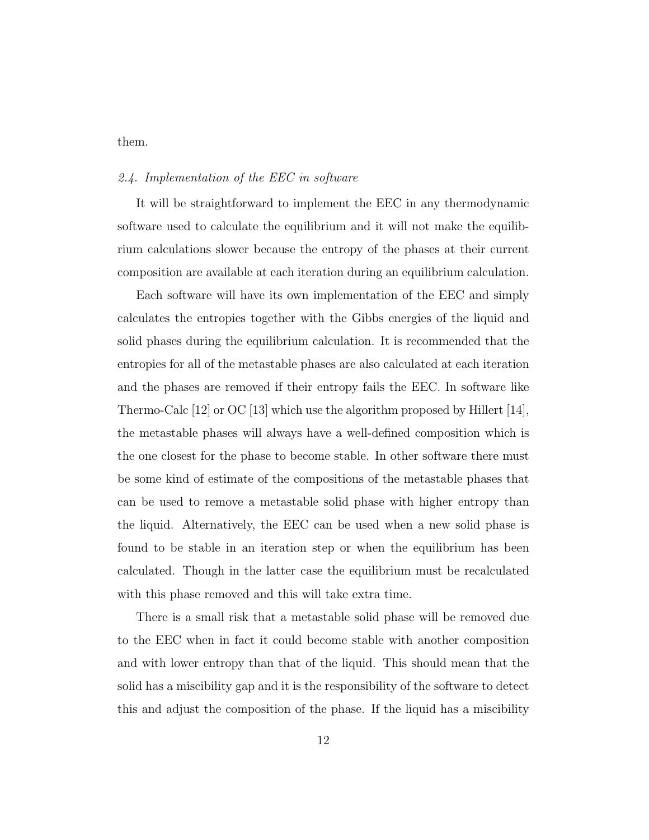#### them.

### 2.4. Implementation of the EEC in software

It will be straightforward to implement the EEC in any thermodynamic software used to calculate the equilibrium and it will not make the equilibrium calculations slower because the entropy of the phases at their current composition are available at each iteration during an equilibrium calculation.

Each software will have its own implementation of the EEC and simply calculates the entropies together with the Gibbs energies of the liquid and solid phases during the equilibrium calculation. It is recommended that the entropies for all of the metastable phases are also calculated at each iteration and the phases are removed if their entropy fails the EEC. In software like Thermo-Calc [12] or OC [13] which use the algorithm proposed by Hillert [14], the metastable phases will always have a well-defined composition which is the one closest for the phase to become stable. In other software there must be some kind of estimate of the compositions of the metastable phases that can be used to remove a metastable solid phase with higher entropy than the liquid. Alternatively, the EEC can be used when a new solid phase is found to be stable in an iteration step or when the equilibrium has been calculated. Though in the latter case the equilibrium must be recalculated with this phase removed and this will take extra time.

There is a small risk that a metastable solid phase will be removed due to the EEC when in fact it could become stable with another composition and with lower entropy than that of the liquid. This should mean that the solid has a miscibility gap and it is the responsibility of the software to detect this and adjust the composition of the phase. If the liquid has a miscibility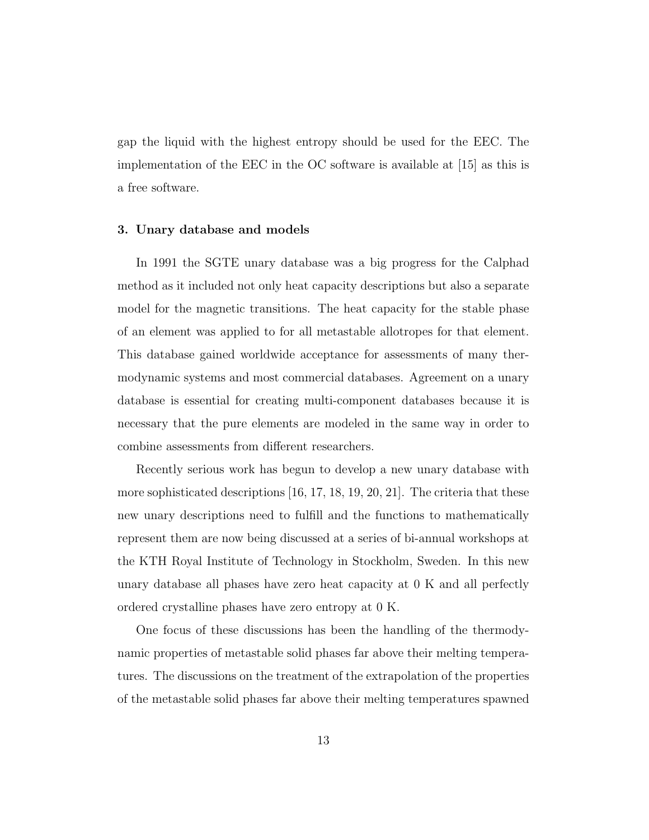gap the liquid with the highest entropy should be used for the EEC. The implementation of the EEC in the OC software is available at [15] as this is a free software.

## 3. Unary database and models

In 1991 the SGTE unary database was a big progress for the Calphad method as it included not only heat capacity descriptions but also a separate model for the magnetic transitions. The heat capacity for the stable phase of an element was applied to for all metastable allotropes for that element. This database gained worldwide acceptance for assessments of many thermodynamic systems and most commercial databases. Agreement on a unary database is essential for creating multi-component databases because it is necessary that the pure elements are modeled in the same way in order to combine assessments from different researchers.

Recently serious work has begun to develop a new unary database with more sophisticated descriptions [16, 17, 18, 19, 20, 21]. The criteria that these new unary descriptions need to fulfill and the functions to mathematically represent them are now being discussed at a series of bi-annual workshops at the KTH Royal Institute of Technology in Stockholm, Sweden. In this new unary database all phases have zero heat capacity at 0 K and all perfectly ordered crystalline phases have zero entropy at 0 K.

One focus of these discussions has been the handling of the thermodynamic properties of metastable solid phases far above their melting temperatures. The discussions on the treatment of the extrapolation of the properties of the metastable solid phases far above their melting temperatures spawned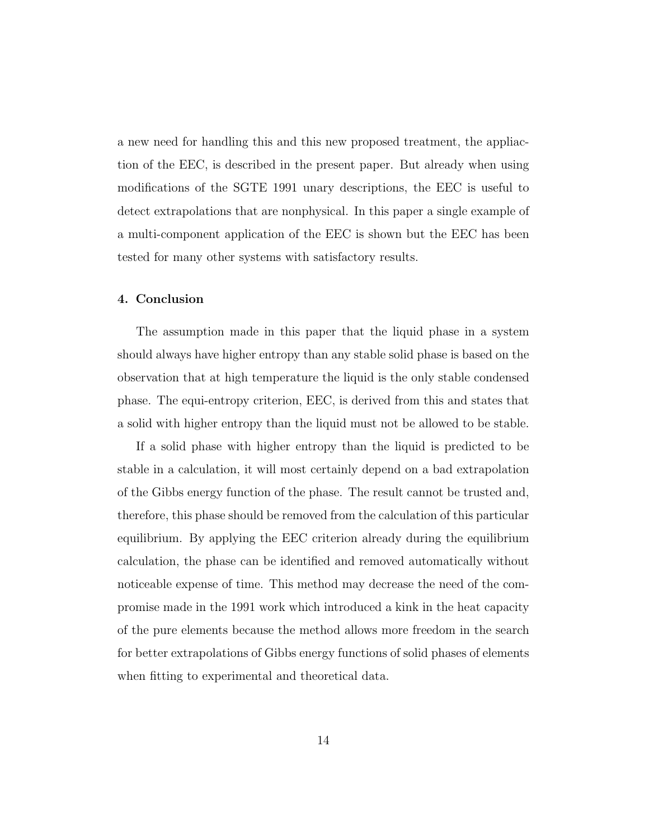a new need for handling this and this new proposed treatment, the appliaction of the EEC, is described in the present paper. But already when using modifications of the SGTE 1991 unary descriptions, the EEC is useful to detect extrapolations that are nonphysical. In this paper a single example of a multi-component application of the EEC is shown but the EEC has been tested for many other systems with satisfactory results.

#### 4. Conclusion

The assumption made in this paper that the liquid phase in a system should always have higher entropy than any stable solid phase is based on the observation that at high temperature the liquid is the only stable condensed phase. The equi-entropy criterion, EEC, is derived from this and states that a solid with higher entropy than the liquid must not be allowed to be stable.

If a solid phase with higher entropy than the liquid is predicted to be stable in a calculation, it will most certainly depend on a bad extrapolation of the Gibbs energy function of the phase. The result cannot be trusted and, therefore, this phase should be removed from the calculation of this particular equilibrium. By applying the EEC criterion already during the equilibrium calculation, the phase can be identified and removed automatically without noticeable expense of time. This method may decrease the need of the compromise made in the 1991 work which introduced a kink in the heat capacity of the pure elements because the method allows more freedom in the search for better extrapolations of Gibbs energy functions of solid phases of elements when fitting to experimental and theoretical data.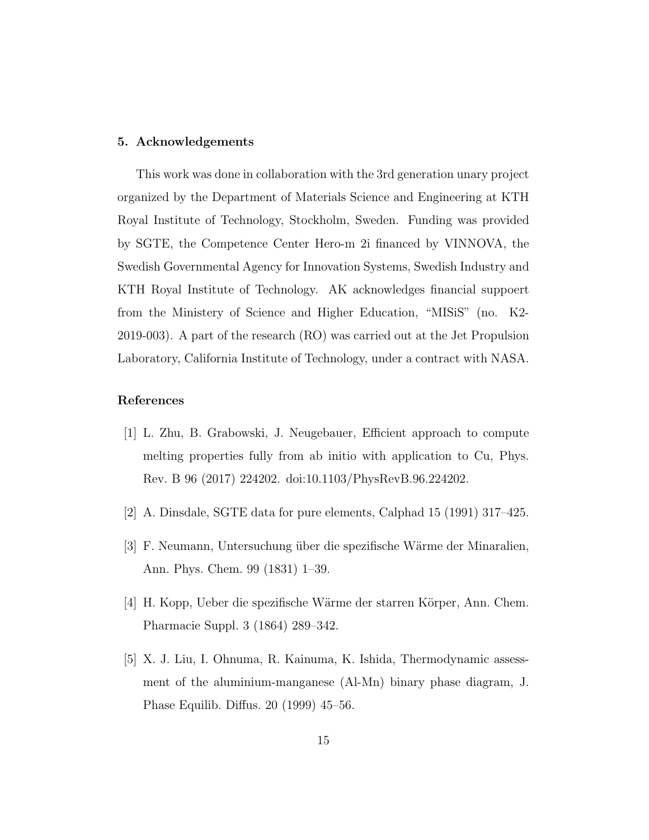## 5. Acknowledgements

This work was done in collaboration with the 3rd generation unary project organized by the Department of Materials Science and Engineering at KTH Royal Institute of Technology, Stockholm, Sweden. Funding was provided by SGTE, the Competence Center Hero-m 2i financed by VINNOVA, the Swedish Governmental Agency for Innovation Systems, Swedish Industry and KTH Royal Institute of Technology. AK acknowledges financial suppoert from the Ministery of Science and Higher Education, "MISiS" (no. K2- 2019-003). A part of the research (RO) was carried out at the Jet Propulsion Laboratory, California Institute of Technology, under a contract with NASA.

## References

- [1] L. Zhu, B. Grabowski, J. Neugebauer, Efficient approach to compute melting properties fully from ab initio with application to Cu, Phys. Rev. B 96 (2017) 224202. doi:10.1103/PhysRevB.96.224202.
- [2] A. Dinsdale, SGTE data for pure elements, Calphad 15 (1991) 317–425.
- [3] F. Neumann, Untersuchung über die spezifische Wärme der Minaralien, Ann. Phys. Chem. 99 (1831) 1–39.
- [4] H. Kopp, Ueber die spezifische Wärme der starren Körper, Ann. Chem. Pharmacie Suppl. 3 (1864) 289–342.
- [5] X. J. Liu, I. Ohnuma, R. Kainuma, K. Ishida, Thermodynamic assessment of the aluminium-manganese (Al-Mn) binary phase diagram, J. Phase Equilib. Diffus. 20 (1999) 45–56.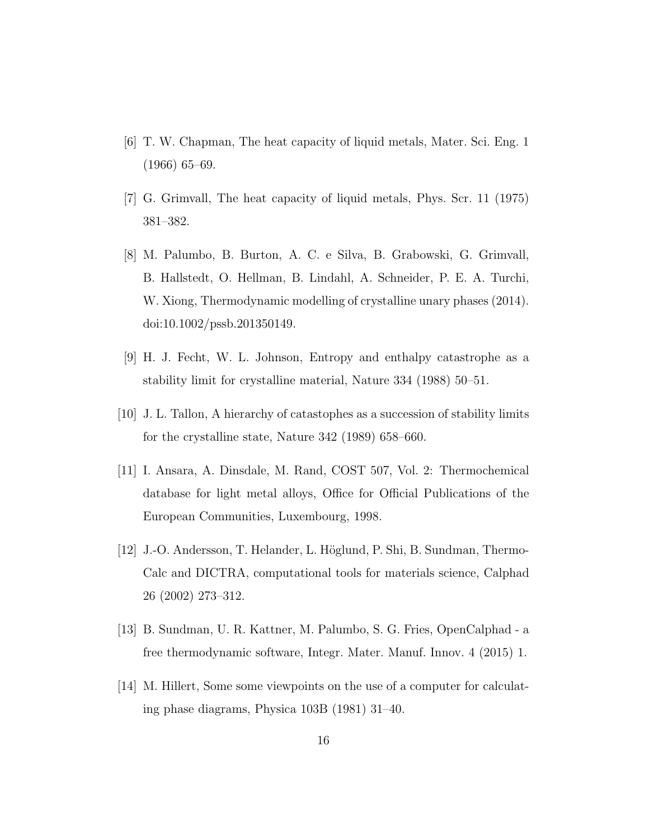- [6] T. W. Chapman, The heat capacity of liquid metals, Mater. Sci. Eng. 1 (1966) 65–69.
- [7] G. Grimvall, The heat capacity of liquid metals, Phys. Scr. 11 (1975) 381–382.
- [8] M. Palumbo, B. Burton, A. C. e Silva, B. Grabowski, G. Grimvall, B. Hallstedt, O. Hellman, B. Lindahl, A. Schneider, P. E. A. Turchi, W. Xiong, Thermodynamic modelling of crystalline unary phases (2014). doi:10.1002/pssb.201350149.
- [9] H. J. Fecht, W. L. Johnson, Entropy and enthalpy catastrophe as a stability limit for crystalline material, Nature 334 (1988) 50–51.
- [10] J. L. Tallon, A hierarchy of catastophes as a succession of stability limits for the crystalline state, Nature 342 (1989) 658–660.
- [11] I. Ansara, A. Dinsdale, M. Rand, COST 507, Vol. 2: Thermochemical database for light metal alloys, Office for Official Publications of the European Communities, Luxembourg, 1998.
- [12] J.-O. Andersson, T. Helander, L. Höglund, P. Shi, B. Sundman, Thermo-Calc and DICTRA, computational tools for materials science, Calphad 26 (2002) 273–312.
- [13] B. Sundman, U. R. Kattner, M. Palumbo, S. G. Fries, OpenCalphad a free thermodynamic software, Integr. Mater. Manuf. Innov. 4 (2015) 1.
- [14] M. Hillert, Some some viewpoints on the use of a computer for calculating phase diagrams, Physica 103B (1981) 31–40.